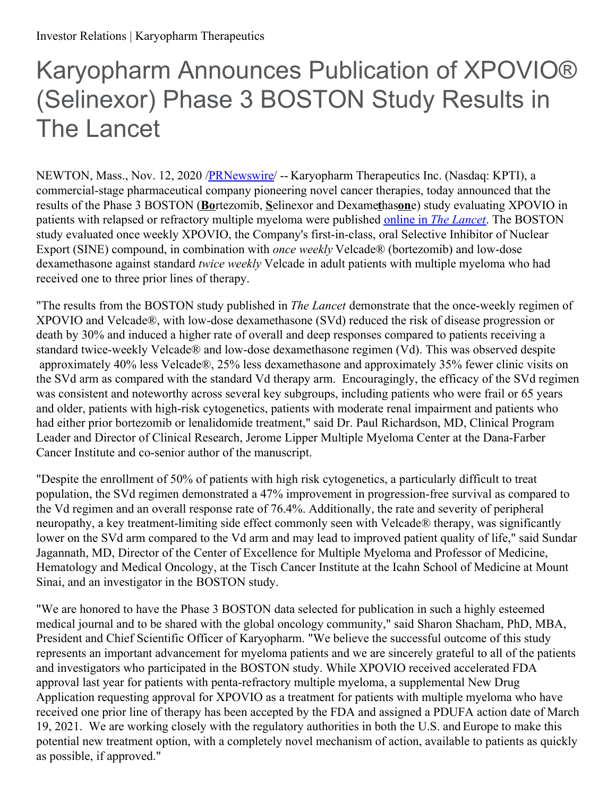# Karyopharm Announces Publication of XPOVIO® (Selinexor) Phase 3 BOSTON Study Results in The Lancet

NEWTON, Mass., Nov. 12, 2020 /**PRNewswire/** -- Karyopharm Therapeutics Inc. (Nasdaq: KPTI), a commercial-stage pharmaceutical company pioneering novel cancer therapies, today announced that the results of the Phase 3 BOSTON (**Bo**rtezomib, **S**elinexor and Dexame**t**has**on**e) study evaluating XPOVIO in patients with relapsed or refractory multiple myeloma were published online in *The [Lancet](https://c212.net/c/link/?t=0&l=en&o=2980269-1&h=2714512121&u=https%3A%2F%2Fwww.thelancet.com%2Fjournals%2Flancet%2Farticle%2FPIIS0140-6736(20)32292-3%2Ffulltext&a=online+in+The+Lancet)*. The BOSTON study evaluated once weekly XPOVIO, the Company's first-in-class, oral Selective Inhibitor of Nuclear Export (SINE) compound, in combination with *once* weekly Velcade® (bortezomib) and low-dose dexamethasone against standard *twice weekly* Velcade in adult patients with multiple myeloma who had received one to three prior lines of therapy.

"The results from the BOSTON study published in *The Lancet* demonstrate that the once-weekly regimen of XPOVIO and Velcade®, with low-dose dexamethasone (SVd) reduced the risk of disease progression or death by 30% and induced a higher rate of overall and deep responses compared to patients receiving a standard twice-weekly Velcade® and low-dose dexamethasone regimen (Vd). This was observed despite approximately 40% less Velcade®, 25% less dexamethasone and approximately 35% fewer clinic visits on the SVd arm as compared with the standard Vd therapy arm. Encouragingly, the efficacy of the SVd regimen was consistent and noteworthy across several key subgroups, including patients who were frail or 65 years and older, patients with high-risk cytogenetics, patients with moderate renal impairment and patients who had either prior bortezomib or lenalidomide treatment," said Dr. Paul Richardson, MD, Clinical Program Leader and Director of Clinical Research, Jerome Lipper Multiple Myeloma Center at the Dana-Farber Cancer Institute and co-senior author of the manuscript.

"Despite the enrollment of 50% of patients with high risk cytogenetics, a particularly difficult to treat population, the SVd regimen demonstrated a 47% improvement in progression-free survival as compared to the Vd regimen and an overall response rate of 76.4%. Additionally, the rate and severity of peripheral neuropathy, a key treatment-limiting side effect commonly seen with Velcade® therapy, was significantly lower on the SVd arm compared to the Vd arm and may lead to improved patient quality of life," said Sundar Jagannath, MD, Director of the Center of Excellence for Multiple Myeloma and Professor of Medicine, Hematology and Medical Oncology, at the Tisch Cancer Institute at the Icahn School of Medicine at Mount Sinai, and an investigator in the BOSTON study.

"We are honored to have the Phase 3 BOSTON data selected for publication in such a highly esteemed medical journal and to be shared with the global oncology community," said Sharon Shacham, PhD, MBA, President and Chief Scientific Officer of Karyopharm. "We believe the successful outcome of this study represents an important advancement for myeloma patients and we are sincerely grateful to all of the patients and investigators who participated in the BOSTON study. While XPOVIO received accelerated FDA approval last year for patients with penta-refractory multiple myeloma, a supplemental New Drug Application requesting approval for XPOVIO as a treatment for patients with multiple myeloma who have received one prior line of therapy has been accepted by the FDA and assigned a PDUFA action date of March 19, 2021. We are working closely with the regulatory authorities in both the U.S. and Europe to make this potential new treatment option, with a completely novel mechanism of action, available to patients as quickly as possible, if approved."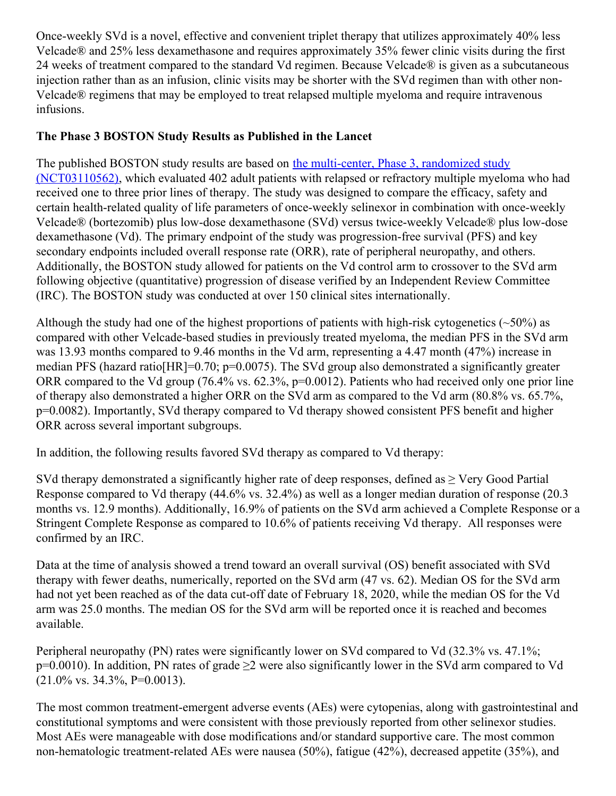Once-weekly SVd is a novel, effective and convenient triplet therapy that utilizes approximately 40% less Velcade® and 25% less dexamethasone and requires approximately 35% fewer clinic visits during the first 24 weeks of treatment compared to the standard Vd regimen. Because Velcade® is given as a subcutaneous injection rather than as an infusion, clinic visits may be shorter with the SVd regimen than with other non-Velcade® regimens that may be employed to treat relapsed multiple myeloma and require intravenous infusions.

#### **The Phase 3 BOSTON Study Results as Published in the Lancet**

The published BOSTON study results are based on the multi-center, Phase 3, randomized study [\(NCT03110562\),](https://c212.net/c/link/?t=0&l=en&o=2980269-1&h=1717873536&u=https%3A%2F%2Fwww.karyopharm.com%2Fpipeline%2Fprograms%2Fmultiple-myeloma-relapsed-refractory-boston%2F&a=the+multi-center%2C+Phase+3%2C+randomized+study+(NCT03110562)) which evaluated 402 adult patients with relapsed or refractory multiple myeloma who had received one to three prior lines of therapy. The study was designed to compare the efficacy, safety and certain health-related quality of life parameters of once-weekly selinexor in combination with once-weekly Velcade® (bortezomib) plus low-dose dexamethasone (SVd) versus twice-weekly Velcade® plus low-dose dexamethasone (Vd). The primary endpoint of the study was progression-free survival (PFS) and key secondary endpoints included overall response rate (ORR), rate of peripheral neuropathy, and others. Additionally, the BOSTON study allowed for patients on the Vd control arm to crossover to the SVd arm following objective (quantitative) progression of disease verified by an Independent Review Committee (IRC). The BOSTON study was conducted at over 150 clinical sites internationally.

Although the study had one of the highest proportions of patients with high-risk cytogenetics ( $\sim$ 50%) as compared with other Velcade-based studies in previously treated myeloma, the median PFS in the SVd arm was 13.93 months compared to 9.46 months in the Vd arm, representing a 4.47 month (47%) increase in median PFS (hazard ratio[HR]=0.70; p=0.0075). The SVd group also demonstrated a significantly greater ORR compared to the Vd group (76.4% vs. 62.3%, p=0.0012). Patients who had received only one prior line of therapy also demonstrated a higher ORR on the SVd arm as compared to the Vd arm (80.8% vs. 65.7%, p=0.0082). Importantly, SVd therapy compared to Vd therapy showed consistent PFS benefit and higher ORR across several important subgroups.

In addition, the following results favored SVd therapy as compared to Vd therapy:

SVd therapy demonstrated a significantly higher rate of deep responses, defined as > Very Good Partial Response compared to Vd therapy (44.6% vs. 32.4%) as well as a longer median duration of response (20.3 months vs. 12.9 months). Additionally, 16.9% of patients on the SVd arm achieved a Complete Response or a Stringent Complete Response as compared to 10.6% of patients receiving Vd therapy. All responses were confirmed by an IRC.

Data at the time of analysis showed a trend toward an overall survival (OS) benefit associated with SVd therapy with fewer deaths, numerically, reported on the SVd arm (47 vs. 62). Median OS for the SVd arm had not yet been reached as of the data cut-off date of February 18, 2020, while the median OS for the Vd arm was 25.0 months. The median OS for the SVd arm will be reported once it is reached and becomes available.

Peripheral neuropathy (PN) rates were significantly lower on SVd compared to Vd (32.3% vs. 47.1%; p=0.0010). In addition, PN rates of grade ≥2 were also significantly lower in the SVd arm compared to Vd  $(21.0\% \text{ vs. } 34.3\%, \text{ P=0.0013}).$ 

The most common treatment-emergent adverse events (AEs) were cytopenias, along with gastrointestinal and constitutional symptoms and were consistent with those previously reported from other selinexor studies. Most AEs were manageable with dose modifications and/or standard supportive care. The most common non-hematologic treatment-related AEs were nausea (50%), fatigue (42%), decreased appetite (35%), and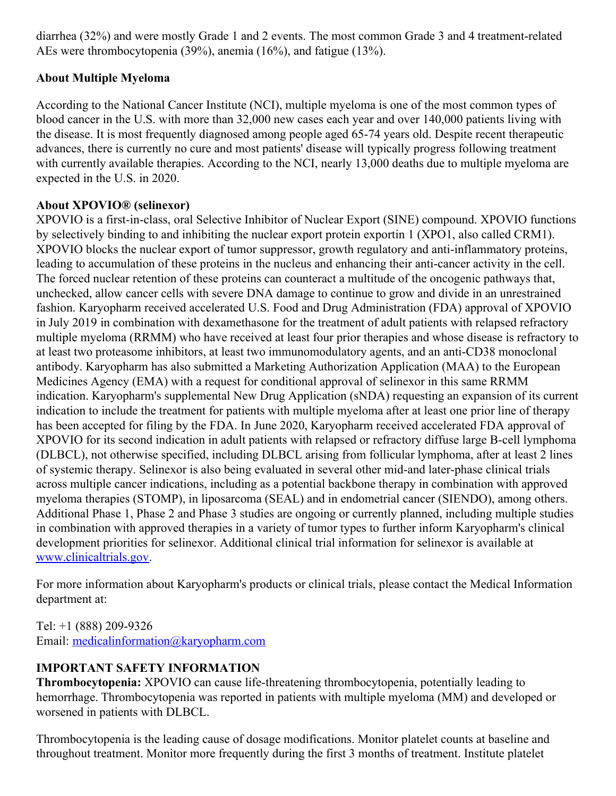diarrhea (32%) and were mostly Grade 1 and 2 events. The most common Grade 3 and 4 treatment-related AEs were thrombocytopenia (39%), anemia (16%), and fatigue (13%).

## **About Multiple Myeloma**

According to the National Cancer Institute (NCI), multiple myeloma is one of the most common types of blood cancer in the U.S. with more than 32,000 new cases each year and over 140,000 patients living with the disease. It is most frequently diagnosed among people aged 65-74 years old. Despite recent therapeutic advances, there is currently no cure and most patients' disease will typically progress following treatment with currently available therapies. According to the NCI, nearly 13,000 deaths due to multiple myeloma are expected in the U.S. in 2020.

## **About XPOVIO® (selinexor)**

XPOVIO is a first-in-class, oral Selective Inhibitor of Nuclear Export (SINE) compound. XPOVIO functions by selectively binding to and inhibiting the nuclear export protein exportin 1 (XPO1, also called CRM1). XPOVIO blocks the nuclear export of tumor suppressor, growth regulatory and anti-inflammatory proteins, leading to accumulation of these proteins in the nucleus and enhancing their anti-cancer activity in the cell. The forced nuclear retention of these proteins can counteract a multitude of the oncogenic pathways that, unchecked, allow cancer cells with severe DNA damage to continue to grow and divide in an unrestrained fashion. Karyopharm received accelerated U.S. Food and Drug Administration (FDA) approval of XPOVIO in July 2019 in combination with dexamethasone for the treatment of adult patients with relapsed refractory multiple myeloma (RRMM) who have received at least four prior therapies and whose disease is refractory to at least two proteasome inhibitors, at least two immunomodulatory agents, and an anti-CD38 monoclonal antibody. Karyopharm has also submitted a Marketing Authorization Application (MAA) to the European Medicines Agency (EMA) with a request for conditional approval of selinexor in this same RRMM indication. Karyopharm's supplemental New Drug Application (sNDA) requesting an expansion of its current indication to include the treatment for patients with multiple myeloma after at least one prior line of therapy has been accepted for filing by the FDA. In June 2020, Karyopharm received accelerated FDA approval of XPOVIO for its second indication in adult patients with relapsed or refractory diffuse large B-cell lymphoma (DLBCL), not otherwise specified, including DLBCL arising from follicular lymphoma, after at least 2 lines of systemic therapy. Selinexor is also being evaluated in several other mid-and later-phase clinical trials across multiple cancer indications, including as a potential backbone therapy in combination with approved myeloma therapies (STOMP), in liposarcoma (SEAL) and in endometrial cancer (SIENDO), among others. Additional Phase 1, Phase 2 and Phase 3 studies are ongoing or currently planned, including multiple studies in combination with approved therapies in a variety of tumor types to further inform Karyopharm's clinical development priorities for selinexor. Additional clinical trial information for selinexor is available at [www.clinicaltrials.gov](http://www.clinicaltrials.gov).

For more information about Karyopharm's products or clinical trials, please contact the Medical Information department at:

Tel: +1 (888) 209-9326 Email: [medicalinformation@karyopharm.com](mailto:medicalinformation@karyopharm.com)

## **IMPORTANT SAFETY INFORMATION**

**Thrombocytopenia:** XPOVIO can cause life-threatening thrombocytopenia, potentially leading to hemorrhage. Thrombocytopenia was reported in patients with multiple myeloma (MM) and developed or worsened in patients with DLBCL.

Thrombocytopenia is the leading cause of dosage modifications. Monitor platelet counts at baseline and throughout treatment. Monitor more frequently during the first 3 months of treatment. Institute platelet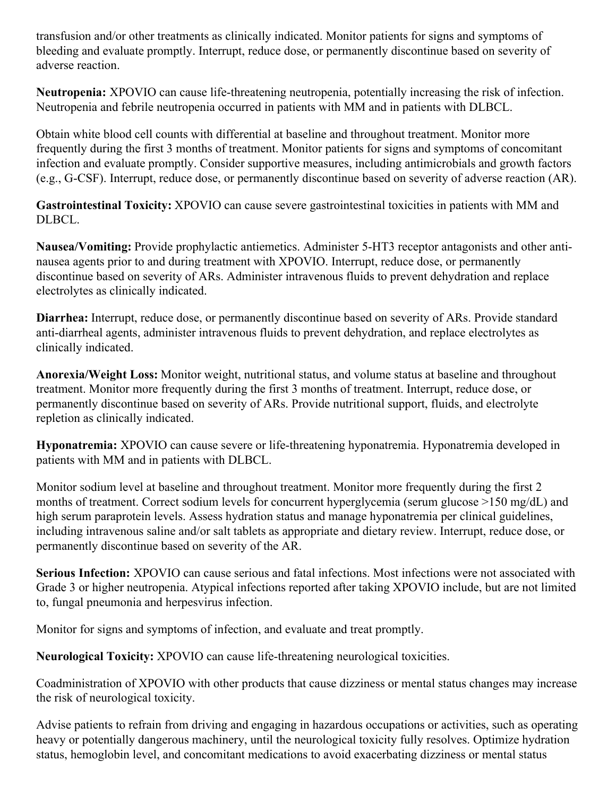transfusion and/or other treatments as clinically indicated. Monitor patients for signs and symptoms of bleeding and evaluate promptly. Interrupt, reduce dose, or permanently discontinue based on severity of adverse reaction.

**Neutropenia:** XPOVIO can cause life-threatening neutropenia, potentially increasing the risk of infection. Neutropenia and febrile neutropenia occurred in patients with MM and in patients with DLBCL.

Obtain white blood cell counts with differential at baseline and throughout treatment. Monitor more frequently during the first 3 months of treatment. Monitor patients for signs and symptoms of concomitant infection and evaluate promptly. Consider supportive measures, including antimicrobials and growth factors (e.g., G-CSF). Interrupt, reduce dose, or permanently discontinue based on severity of adverse reaction (AR).

**Gastrointestinal Toxicity:** XPOVIO can cause severe gastrointestinal toxicities in patients with MM and DLBCL.

**Nausea/Vomiting:** Provide prophylactic antiemetics. Administer 5-HT3 receptor antagonists and other antinausea agents prior to and during treatment with XPOVIO. Interrupt, reduce dose, or permanently discontinue based on severity of ARs. Administer intravenous fluids to prevent dehydration and replace electrolytes as clinically indicated.

**Diarrhea:** Interrupt, reduce dose, or permanently discontinue based on severity of ARs. Provide standard anti-diarrheal agents, administer intravenous fluids to prevent dehydration, and replace electrolytes as clinically indicated.

**Anorexia/Weight Loss:** Monitor weight, nutritional status, and volume status at baseline and throughout treatment. Monitor more frequently during the first 3 months of treatment. Interrupt, reduce dose, or permanently discontinue based on severity of ARs. Provide nutritional support, fluids, and electrolyte repletion as clinically indicated.

**Hyponatremia:** XPOVIO can cause severe or life-threatening hyponatremia. Hyponatremia developed in patients with MM and in patients with DLBCL.

Monitor sodium level at baseline and throughout treatment. Monitor more frequently during the first 2 months of treatment. Correct sodium levels for concurrent hyperglycemia (serum glucose >150 mg/dL) and high serum paraprotein levels. Assess hydration status and manage hyponatremia per clinical guidelines, including intravenous saline and/or salt tablets as appropriate and dietary review. Interrupt, reduce dose, or permanently discontinue based on severity of the AR.

**Serious Infection:** XPOVIO can cause serious and fatal infections. Most infections were not associated with Grade 3 or higher neutropenia. Atypical infections reported after taking XPOVIO include, but are not limited to, fungal pneumonia and herpesvirus infection.

Monitor for signs and symptoms of infection, and evaluate and treat promptly.

**Neurological Toxicity:** XPOVIO can cause life-threatening neurological toxicities.

Coadministration of XPOVIO with other products that cause dizziness or mental status changes may increase the risk of neurological toxicity.

Advise patients to refrain from driving and engaging in hazardous occupations or activities, such as operating heavy or potentially dangerous machinery, until the neurological toxicity fully resolves. Optimize hydration status, hemoglobin level, and concomitant medications to avoid exacerbating dizziness or mental status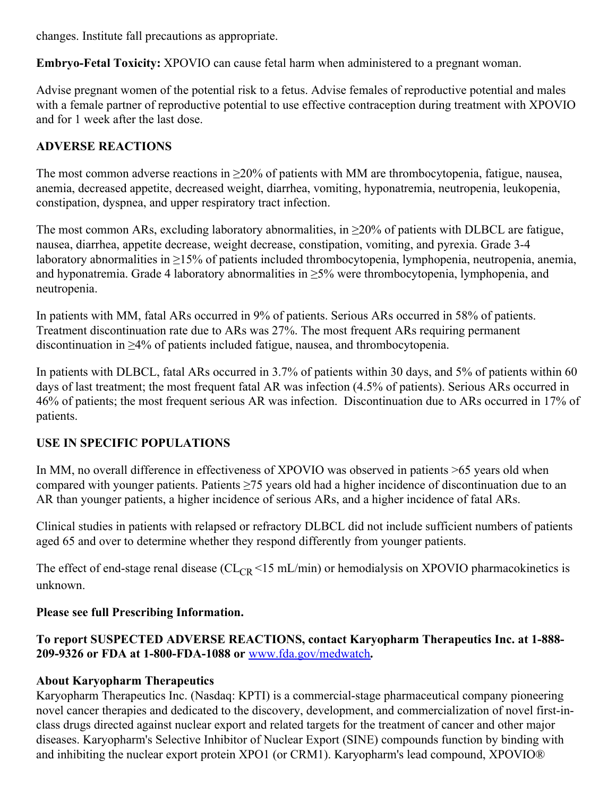changes. Institute fall precautions as appropriate.

**Embryo-Fetal Toxicity:** XPOVIO can cause fetal harm when administered to a pregnant woman.

Advise pregnant women of the potential risk to a fetus. Advise females of reproductive potential and males with a female partner of reproductive potential to use effective contraception during treatment with XPOVIO and for 1 week after the last dose.

## **ADVERSE REACTIONS**

The most common adverse reactions in  $\geq$ 20% of patients with MM are thrombocytopenia, fatigue, nausea, anemia, decreased appetite, decreased weight, diarrhea, vomiting, hyponatremia, neutropenia, leukopenia, constipation, dyspnea, and upper respiratory tract infection.

The most common ARs, excluding laboratory abnormalities, in  $\geq$ 20% of patients with DLBCL are fatigue, nausea, diarrhea, appetite decrease, weight decrease, constipation, vomiting, and pyrexia. Grade 3-4 laboratory abnormalities in ≥15% of patients included thrombocytopenia, lymphopenia, neutropenia, anemia, and hyponatremia. Grade 4 laboratory abnormalities in  $\geq$ 5% were thrombocytopenia, lymphopenia, and neutropenia.

In patients with MM, fatal ARs occurred in 9% of patients. Serious ARs occurred in 58% of patients. Treatment discontinuation rate due to ARs was 27%. The most frequent ARs requiring permanent discontinuation in ≥4% of patients included fatigue, nausea, and thrombocytopenia.

In patients with DLBCL, fatal ARs occurred in 3.7% of patients within 30 days, and 5% of patients within 60 days of last treatment; the most frequent fatal AR was infection (4.5% of patients). Serious ARs occurred in 46% of patients; the most frequent serious AR was infection. Discontinuation due to ARs occurred in 17% of patients.

## **USE IN SPECIFIC POPULATIONS**

In MM, no overall difference in effectiveness of XPOVIO was observed in patients >65 years old when compared with younger patients. Patients ≥75 years old had a higher incidence of discontinuation due to an AR than younger patients, a higher incidence of serious ARs, and a higher incidence of fatal ARs.

Clinical studies in patients with relapsed or refractory DLBCL did not include sufficient numbers of patients aged 65 and over to determine whether they respond differently from younger patients.

The effect of end-stage renal disease ( $CL_{CR}$  <15 mL/min) or hemodialysis on XPOVIO pharmacokinetics is unknown.

## **Please see full Prescribing Information.**

#### **To report SUSPECTED ADVERSE REACTIONS, contact Karyopharm Therapeutics Inc. at 1-888- 209-9326 or FDA at 1-800-FDA-1088 or** [www.fda.gov/medwatch](http://www.fda.gov/medwatch)**.**

#### **About Karyopharm Therapeutics**

Karyopharm Therapeutics Inc. (Nasdaq: KPTI) is a commercial-stage pharmaceutical company pioneering novel cancer therapies and dedicated to the discovery, development, and commercialization of novel first-inclass drugs directed against nuclear export and related targets for the treatment of cancer and other major diseases. Karyopharm's Selective Inhibitor of Nuclear Export (SINE) compounds function by binding with and inhibiting the nuclear export protein XPO1 (or CRM1). Karyopharm's lead compound, XPOVIO®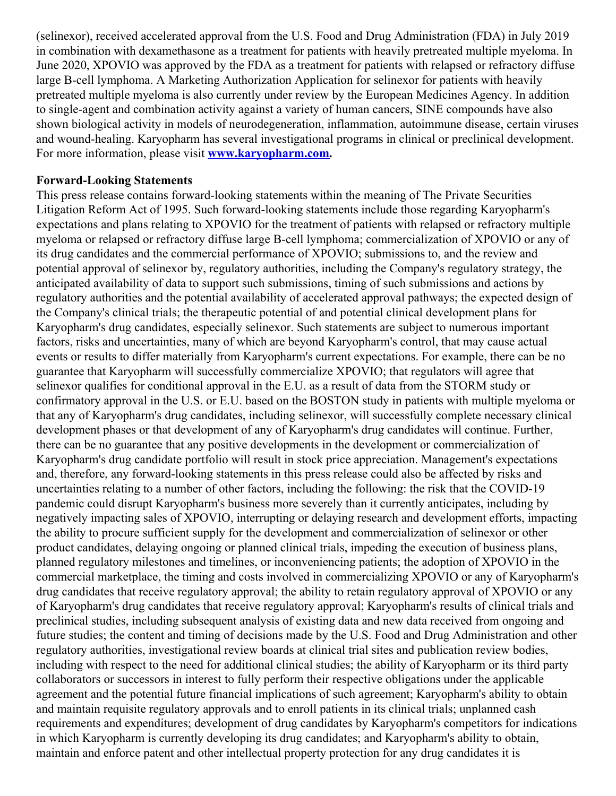(selinexor), received accelerated approval from the U.S. Food and Drug Administration (FDA) in July 2019 in combination with dexamethasone as a treatment for patients with heavily pretreated multiple myeloma. In June 2020, XPOVIO was approved by the FDA as a treatment for patients with relapsed or refractory diffuse large B-cell lymphoma. A Marketing Authorization Application for selinexor for patients with heavily pretreated multiple myeloma is also currently under review by the European Medicines Agency. In addition to single-agent and combination activity against a variety of human cancers, SINE compounds have also shown biological activity in models of neurodegeneration, inflammation, autoimmune disease, certain viruses and wound-healing. Karyopharm has several investigational programs in clinical or preclinical development. For more information, please visit **[www.karyopharm.com](http://www.karyopharm.com).**

#### **Forward-Looking Statements**

This press release contains forward-looking statements within the meaning of The Private Securities Litigation Reform Act of 1995. Such forward-looking statements include those regarding Karyopharm's expectations and plans relating to XPOVIO for the treatment of patients with relapsed or refractory multiple myeloma or relapsed or refractory diffuse large B-cell lymphoma; commercialization of XPOVIO or any of its drug candidates and the commercial performance of XPOVIO; submissions to, and the review and potential approval of selinexor by, regulatory authorities, including the Company's regulatory strategy, the anticipated availability of data to support such submissions, timing of such submissions and actions by regulatory authorities and the potential availability of accelerated approval pathways; the expected design of the Company's clinical trials; the therapeutic potential of and potential clinical development plans for Karyopharm's drug candidates, especially selinexor. Such statements are subject to numerous important factors, risks and uncertainties, many of which are beyond Karyopharm's control, that may cause actual events or results to differ materially from Karyopharm's current expectations. For example, there can be no guarantee that Karyopharm will successfully commercialize XPOVIO; that regulators will agree that selinexor qualifies for conditional approval in the E.U. as a result of data from the STORM study or confirmatory approval in the U.S. or E.U. based on the BOSTON study in patients with multiple myeloma or that any of Karyopharm's drug candidates, including selinexor, will successfully complete necessary clinical development phases or that development of any of Karyopharm's drug candidates will continue. Further, there can be no guarantee that any positive developments in the development or commercialization of Karyopharm's drug candidate portfolio will result in stock price appreciation. Management's expectations and, therefore, any forward-looking statements in this press release could also be affected by risks and uncertainties relating to a number of other factors, including the following: the risk that the COVID-19 pandemic could disrupt Karyopharm's business more severely than it currently anticipates, including by negatively impacting sales of XPOVIO, interrupting or delaying research and development efforts, impacting the ability to procure sufficient supply for the development and commercialization of selinexor or other product candidates, delaying ongoing or planned clinical trials, impeding the execution of business plans, planned regulatory milestones and timelines, or inconveniencing patients; the adoption of XPOVIO in the commercial marketplace, the timing and costs involved in commercializing XPOVIO or any of Karyopharm's drug candidates that receive regulatory approval; the ability to retain regulatory approval of XPOVIO or any of Karyopharm's drug candidates that receive regulatory approval; Karyopharm's results of clinical trials and preclinical studies, including subsequent analysis of existing data and new data received from ongoing and future studies; the content and timing of decisions made by the U.S. Food and Drug Administration and other regulatory authorities, investigational review boards at clinical trial sites and publication review bodies, including with respect to the need for additional clinical studies; the ability of Karyopharm or its third party collaborators or successors in interest to fully perform their respective obligations under the applicable agreement and the potential future financial implications of such agreement; Karyopharm's ability to obtain and maintain requisite regulatory approvals and to enroll patients in its clinical trials; unplanned cash requirements and expenditures; development of drug candidates by Karyopharm's competitors for indications in which Karyopharm is currently developing its drug candidates; and Karyopharm's ability to obtain, maintain and enforce patent and other intellectual property protection for any drug candidates it is